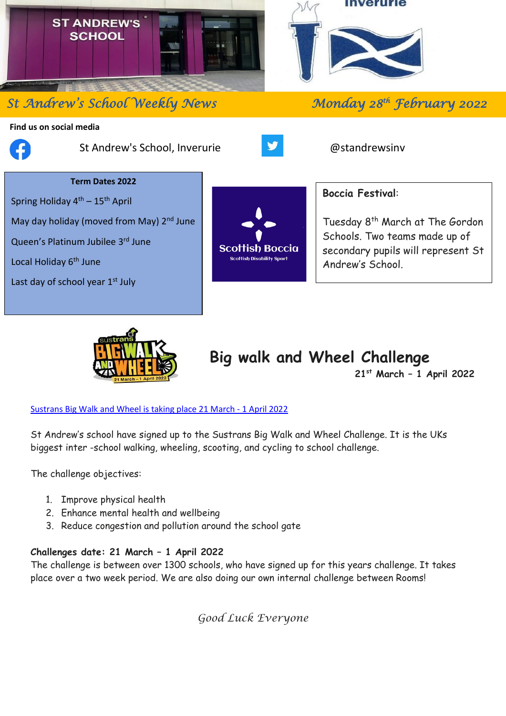

# **St Andrew's School Weekly News**

#### **Find us on social media**



֦

St Andrew's School, Inverurie **Bullet and Structure and Australian** @standrewsinv



### **Term Dates 2022**

Spring Holiday  $4<sup>th</sup> - 15<sup>th</sup>$  April May day holiday (moved from May) 2<sup>nd</sup> June

Queen's Platinum Jubilee 3rd June

Local Holiday 6<sup>th</sup> June

Last day of school year  $1<sup>st</sup>$  July



## **Boccia Festival**:

Tuesday 8 th March at The Gordon Schools. Two teams made up of secondary pupils will represent St Andrew's School.

*th February 2022* 



# **Big walk and Wheel Challenge**

**21st March – 1 April 2022**

#### [Sustrans Big Walk and Wheel is taking place 21 March -](https://bigwalkandwheel.org.uk/) 1 April 2022

St Andrew's school have signed up to the Sustrans Big Walk and Wheel Challenge. It is the UKs biggest inter -school walking, wheeling, scooting, and cycling to school challenge.

The challenge objectives:

- 1. Improve physical health
- 2. Enhance mental health and wellbeing
- 3. Reduce congestion and pollution around the school gate

### **Challenges date: 21 March – 1 April 2022**

The challenge is between over 1300 schools, who have signed up for this years challenge. It takes place over a two week period. We are also doing our own internal challenge between Rooms!

*Good Luck Everyone*